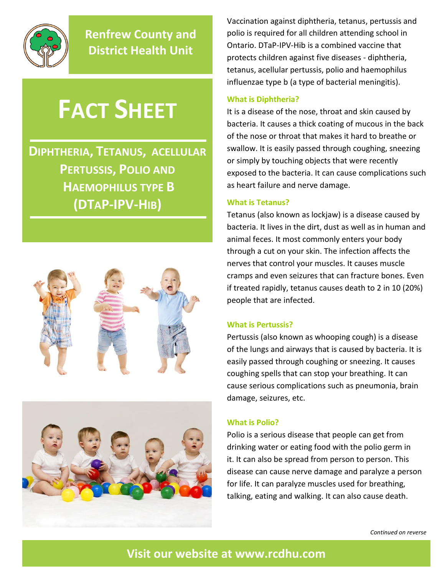

**Renfrew County and District Health Unit**

# **FACT SHEET**

**DIPHTHERIA, TETANUS, ACELLULAR PERTUSSIS, POLIO AND HAEMOPHILUS TYPE B (DTAP-IPV-HIB)**





Vaccination against diphtheria, tetanus, pertussis and polio is required for all children attending school in Ontario. DTaP-IPV-Hib is a combined vaccine that protects children against five diseases - diphtheria, tetanus, acellular pertussis, polio and haemophilus influenzae type b (a type of bacterial meningitis).

## **What is Diphtheria?**

It is a disease of the nose, throat and skin caused by bacteria. It causes a thick coating of mucous in the back of the nose or throat that makes it hard to breathe or swallow. It is easily passed through coughing, sneezing or simply by touching objects that were recently exposed to the bacteria. It can cause complications such as heart failure and nerve damage.

## **What is Tetanus?**

Tetanus (also known as lockjaw) is a disease caused by bacteria. It lives in the dirt, dust as well as in human and animal feces. It most commonly enters your body through a cut on your skin. The infection affects the nerves that control your muscles. It causes muscle cramps and even seizures that can fracture bones. Even if treated rapidly, tetanus causes death to 2 in 10 (20%) people that are infected.

## **What is Pertussis?**

Pertussis (also known as whooping cough) is a disease of the lungs and airways that is caused by bacteria. It is easily passed through coughing or sneezing. It causes coughing spells that can stop your breathing. It can cause serious complications such as pneumonia, brain damage, seizures, etc.

## **What is Polio?**

Polio is a serious disease that people can get from drinking water or eating food with the polio germ in it. It can also be spread from person to person. This disease can cause nerve damage and paralyze a person for life. It can paralyze muscles used for breathing, talking, eating and walking. It can also cause death.

*Continued on reverse*

# **Visit our website at [www.rcdhu.com](http://www.rcdhu.com/)**